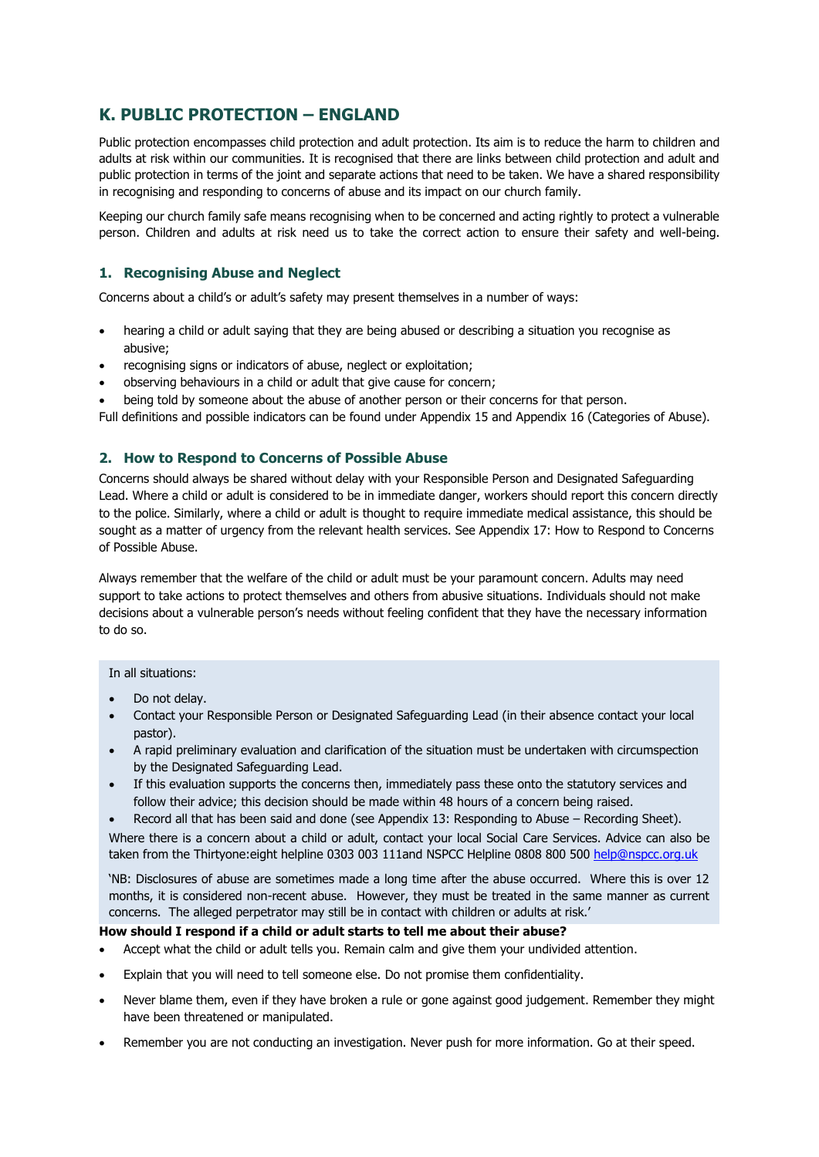# **K. PUBLIC PROTECTION – ENGLAND**

Public protection encompasses child protection and adult protection. Its aim is to reduce the harm to children and adults at risk within our communities. It is recognised that there are links between child protection and adult and public protection in terms of the joint and separate actions that need to be taken. We have a shared responsibility in recognising and responding to concerns of abuse and its impact on our church family.

Keeping our church family safe means recognising when to be concerned and acting rightly to protect a vulnerable person. Children and adults at risk need us to take the correct action to ensure their safety and well-being.

# **1. Recognising Abuse and Neglect**

Concerns about a child's or adult's safety may present themselves in a number of ways:

- hearing a child or adult saying that they are being abused or describing a situation you recognise as abusive;
- recognising signs or indicators of abuse, neglect or exploitation;
- observing behaviours in a child or adult that give cause for concern;
- being told by someone about the abuse of another person or their concerns for that person.

Full definitions and possible indicators can be found under Appendix 15 and Appendix 16 (Categories of Abuse).

# **2. How to Respond to Concerns of Possible Abuse**

Concerns should always be shared without delay with your Responsible Person and Designated Safeguarding Lead. Where a child or adult is considered to be in immediate danger, workers should report this concern directly to the police. Similarly, where a child or adult is thought to require immediate medical assistance, this should be sought as a matter of urgency from the relevant health services. See Appendix 17: How to Respond to Concerns of Possible Abuse.

Always remember that the welfare of the child or adult must be your paramount concern. Adults may need support to take actions to protect themselves and others from abusive situations. Individuals should not make decisions about a vulnerable person's needs without feeling confident that they have the necessary information to do so.

### In all situations:

- Do not delay.
- Contact your Responsible Person or Designated Safeguarding Lead (in their absence contact your local pastor).
- A rapid preliminary evaluation and clarification of the situation must be undertaken with circumspection by the Designated Safeguarding Lead.
- If this evaluation supports the concerns then, immediately pass these onto the statutory services and follow their advice; this decision should be made within 48 hours of a concern being raised.
- Record all that has been said and done (see Appendix 13: Responding to Abuse Recording Sheet).

Where there is a concern about a child or adult, contact your local Social Care Services. Advice can also be taken from the Thirtyone:eight helpline 0303 003 111and NSPCC Helpline 0808 800 500 [help@nspcc.org.uk](mailto:help@nspcc.org.uk)

'NB: Disclosures of abuse are sometimes made a long time after the abuse occurred. Where this is over 12 months, it is considered non-recent abuse. However, they must be treated in the same manner as current concerns. The alleged perpetrator may still be in contact with children or adults at risk.'

### **How should I respond if a child or adult starts to tell me about their abuse?**

- Accept what the child or adult tells you. Remain calm and give them your undivided attention.
- Explain that you will need to tell someone else. Do not promise them confidentiality.
- Never blame them, even if they have broken a rule or gone against good judgement. Remember they might have been threatened or manipulated.
- Remember you are not conducting an investigation. Never push for more information. Go at their speed.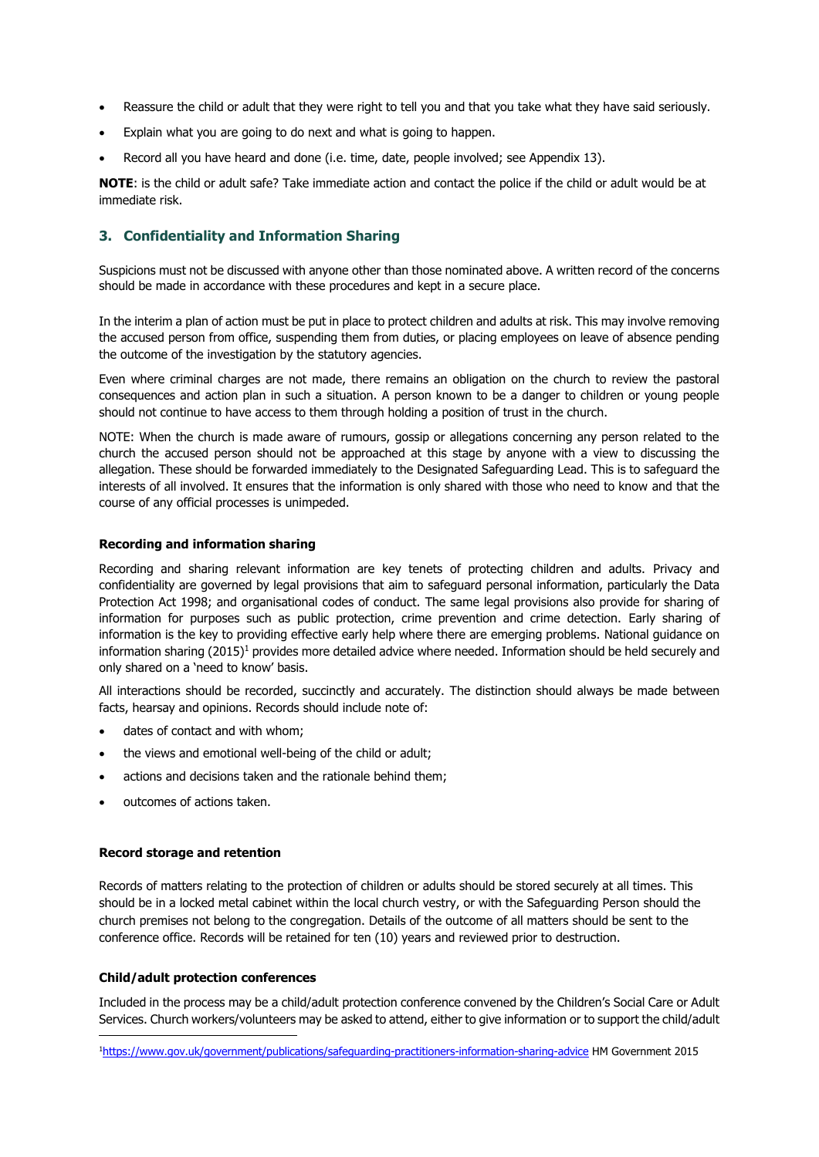- Reassure the child or adult that they were right to tell you and that you take what they have said seriously.
- Explain what you are going to do next and what is going to happen.
- Record all you have heard and done (i.e. time, date, people involved; see Appendix 13).

**NOTE**: is the child or adult safe? Take immediate action and contact the police if the child or adult would be at immediate risk.

# **3. Confidentiality and Information Sharing**

Suspicions must not be discussed with anyone other than those nominated above. A written record of the concerns should be made in accordance with these procedures and kept in a secure place.

In the interim a plan of action must be put in place to protect children and adults at risk. This may involve removing the accused person from office, suspending them from duties, or placing employees on leave of absence pending the outcome of the investigation by the statutory agencies.

Even where criminal charges are not made, there remains an obligation on the church to review the pastoral consequences and action plan in such a situation. A person known to be a danger to children or young people should not continue to have access to them through holding a position of trust in the church.

NOTE: When the church is made aware of rumours, gossip or allegations concerning any person related to the church the accused person should not be approached at this stage by anyone with a view to discussing the allegation. These should be forwarded immediately to the Designated Safeguarding Lead. This is to safeguard the interests of all involved. It ensures that the information is only shared with those who need to know and that the course of any official processes is unimpeded.

### **Recording and information sharing**

Recording and sharing relevant information are key tenets of protecting children and adults. Privacy and confidentiality are governed by legal provisions that aim to safeguard personal information, particularly the Data Protection Act 1998; and organisational codes of conduct. The same legal provisions also provide for sharing of information for purposes such as public protection, crime prevention and crime detection. Early sharing of information is the key to providing effective early help where there are emerging problems. National guidance on information sharing  $(2015)^1$  provides more detailed advice where needed. Information should be held securely and only shared on a 'need to know' basis.

All interactions should be recorded, succinctly and accurately. The distinction should always be made between facts, hearsay and opinions. Records should include note of:

- dates of contact and with whom;
- the views and emotional well-being of the child or adult;
- actions and decisions taken and the rationale behind them;
- outcomes of actions taken.

### **Record storage and retention**

Records of matters relating to the protection of children or adults should be stored securely at all times. This should be in a locked metal cabinet within the local church vestry, or with the Safeguarding Person should the church premises not belong to the congregation. Details of the outcome of all matters should be sent to the conference office. Records will be retained for ten (10) years and reviewed prior to destruction.

### **Child/adult protection conferences**

Included in the process may be a child/adult protection conference convened by the Children's Social Care or Adult Services. Church workers/volunteers may be asked to attend, either to give information or to support the child/adult